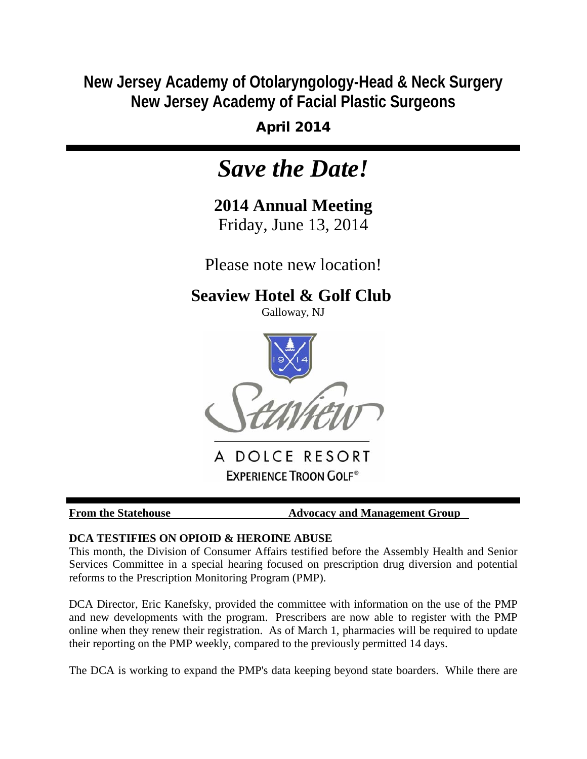**New Jersey Academy of Otolaryngology-Head & Neck Surgery New Jersey Academy of Facial Plastic Surgeons**

April 2014

# *Save the Date!*

**2014 Annual Meeting** Friday, June 13, 2014

Please note new location!

## **Seaview Hotel & Golf Club**

Galloway, NJ



A DOLCE RESORT **EXPERIENCE TROON GOLF®** 

**From the Statehouse Advocacy and Management Group** 

### **DCA TESTIFIES ON OPIOID & HEROINE ABUSE**

This month, the Division of Consumer Affairs testified before the Assembly Health and Senior Services Committee in a special hearing focused on prescription drug diversion and potential reforms to the Prescription Monitoring Program (PMP).

DCA Director, Eric Kanefsky, provided the committee with information on the use of the PMP and new developments with the program. Prescribers are now able to register with the PMP online when they renew their registration. As of March 1, pharmacies will be required to update their reporting on the PMP weekly, compared to the previously permitted 14 days.

The DCA is working to expand the PMP's data keeping beyond state boarders. While there are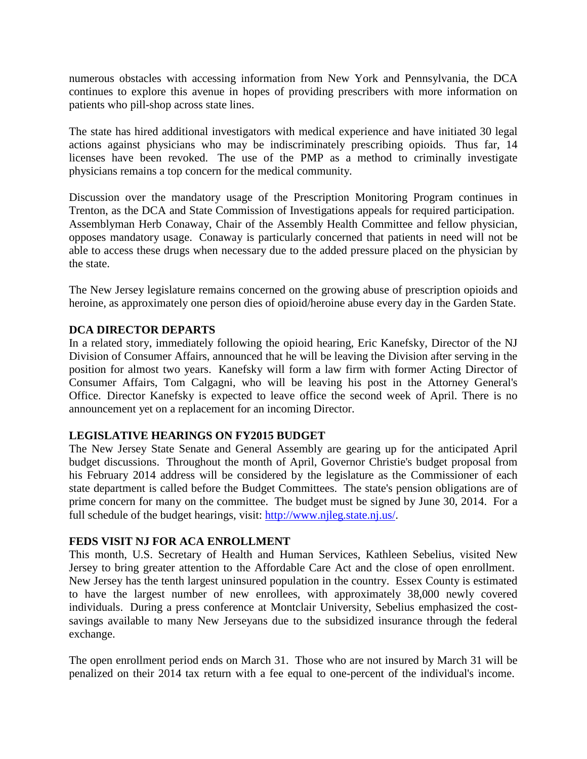numerous obstacles with accessing information from New York and Pennsylvania, the DCA continues to explore this avenue in hopes of providing prescribers with more information on patients who pill-shop across state lines.

The state has hired additional investigators with medical experience and have initiated 30 legal actions against physicians who may be indiscriminately prescribing opioids. Thus far, 14 licenses have been revoked. The use of the PMP as a method to criminally investigate physicians remains a top concern for the medical community.

Discussion over the mandatory usage of the Prescription Monitoring Program continues in Trenton, as the DCA and State Commission of Investigations appeals for required participation. Assemblyman Herb Conaway, Chair of the Assembly Health Committee and fellow physician, opposes mandatory usage. Conaway is particularly concerned that patients in need will not be able to access these drugs when necessary due to the added pressure placed on the physician by the state.

The New Jersey legislature remains concerned on the growing abuse of prescription opioids and heroine, as approximately one person dies of opioid/heroine abuse every day in the Garden State.

### **DCA DIRECTOR DEPARTS**

In a related story, immediately following the opioid hearing, Eric Kanefsky, Director of the NJ Division of Consumer Affairs, announced that he will be leaving the Division after serving in the position for almost two years. Kanefsky will form a law firm with former Acting Director of Consumer Affairs, Tom Calgagni, who will be leaving his post in the Attorney General's Office. Director Kanefsky is expected to leave office the second week of April. There is no announcement yet on a replacement for an incoming Director.

### **LEGISLATIVE HEARINGS ON FY2015 BUDGET**

The New Jersey State Senate and General Assembly are gearing up for the anticipated April budget discussions. Throughout the month of April, Governor Christie's budget proposal from his February 2014 address will be considered by the legislature as the Commissioner of each state department is called before the Budget Committees. The state's pension obligations are of prime concern for many on the committee. The budget must be signed by June 30, 2014. For a full schedule of the budget hearings, visit: [http://www.njleg.state.nj.us/.](http://r20.rs6.net/tn.jsp?f=0013J1M1Te9goFcPtGNjQm70Gb1eA6IgAy6iWLLPtIswN_m4v6-F88lg2zUlgfI91bkQhpMcKcZbrYV4c04mA-u5VU4dmk8mzA3nagyApA3Zuum78Pt0FE6T5C__DGf1-0avVwMxinsPVMhvAXRPtqFRC8YnAtdbSpfu9ybvk8ZZkiPnUxTc0G-Lg==&c=3PBbiHYrflCqnBAB8v06DZdCUoaJcTTP8ehGY5TzcNYxhI-_Ahi4Xw==&ch=LdSk1mv5JMEI4d48ODgpbJAx7pkY0KoMpPE1GlfqBXvXf4GLi2y66w==)

### **FEDS VISIT NJ FOR ACA ENROLLMENT**

This month, U.S. Secretary of Health and Human Services, Kathleen Sebelius, visited New Jersey to bring greater attention to the Affordable Care Act and the close of open enrollment. New Jersey has the tenth largest uninsured population in the country. Essex County is estimated to have the largest number of new enrollees, with approximately 38,000 newly covered individuals. During a press conference at Montclair University, Sebelius emphasized the costsavings available to many New Jerseyans due to the subsidized insurance through the federal exchange.

The open enrollment period ends on March 31. Those who are not insured by March 31 will be penalized on their 2014 tax return with a fee equal to one-percent of the individual's income.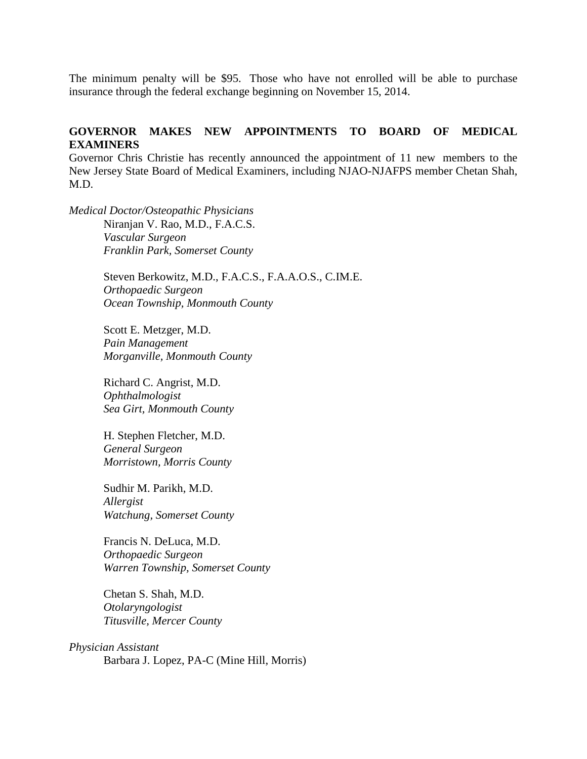The minimum penalty will be \$95. Those who have not enrolled will be able to purchase insurance through the federal exchange beginning on November 15, 2014.

### **GOVERNOR MAKES NEW APPOINTMENTS TO BOARD OF MEDICAL EXAMINERS**

Governor Chris Christie has recently announced the appointment of 11 new members to the New Jersey State Board of Medical Examiners, including NJAO-NJAFPS member Chetan Shah, M.D.

*Medical Doctor/Osteopathic Physicians* Niranjan V. Rao, M.D., F.A.C.S. *Vascular Surgeon Franklin Park, Somerset County*

> Steven Berkowitz, M.D., F.A.C.S., F.A.A.O.S., C.IM.E. *Orthopaedic Surgeon Ocean Township, Monmouth County*

Scott E. Metzger, M.D. *Pain Management Morganville, Monmouth County*

Richard C. Angrist, M.D. *Ophthalmologist Sea Girt, Monmouth County*

H. Stephen Fletcher, M.D. *General Surgeon Morristown, Morris County* 

Sudhir M. Parikh, M.D. *Allergist Watchung, Somerset County*

Francis N. DeLuca, M.D. *Orthopaedic Surgeon Warren Township, Somerset County*

Chetan S. Shah, M.D. *Otolaryngologist Titusville, Mercer County*

*Physician Assistant* Barbara J. Lopez, PA-C (Mine Hill, Morris)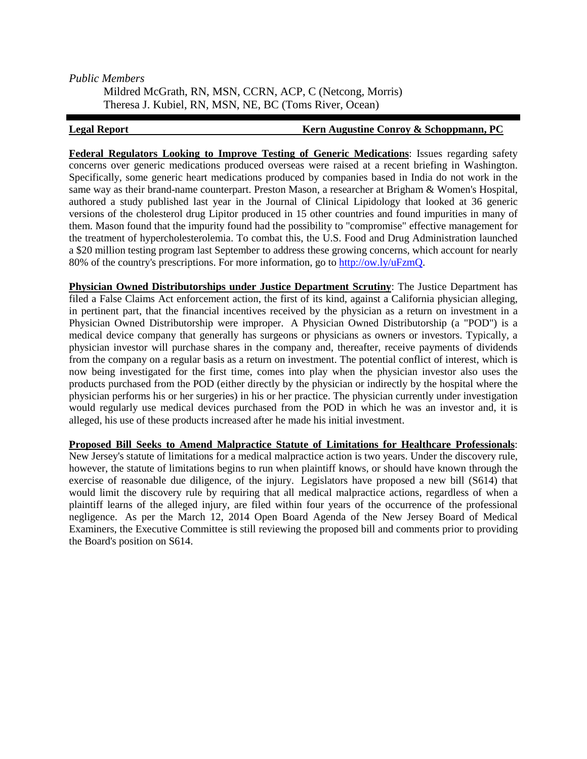### *Public Members*

Mildred McGrath, RN, MSN, CCRN, ACP, C (Netcong, Morris) Theresa J. Kubiel, RN, MSN, NE, BC (Toms River, Ocean)

### **Legal Report Converted Convertisers** External Metric Augustine Conroy & Schoppmann, PC

**Federal Regulators Looking to Improve Testing of Generic Medications**: Issues regarding safety concerns over generic medications produced overseas were raised at a recent briefing in Washington. Specifically, some generic heart medications produced by companies based in India do not work in the same way as their brand-name counterpart. Preston Mason, a researcher at Brigham & Women's Hospital, authored a study published last year in the Journal of Clinical Lipidology that looked at 36 generic versions of the cholesterol drug Lipitor produced in 15 other countries and found impurities in many of them. Mason found that the impurity found had the possibility to "compromise" effective management for the treatment of hypercholesterolemia. To combat this, the U.S. Food and Drug Administration launched a \$20 million testing program last September to address these growing concerns, which account for nearly 80% of the country's prescriptions. For more information, go to [http://ow.ly/uFzmQ.](http://r20.rs6.net/tn.jsp?f=0013J1M1Te9goFcPtGNjQm70Gb1eA6IgAy6iWLLPtIswN_m4v6-F88lg__zwfYHT1ybSH7UILagXKRV_FSHLIrNmnucq2-GScc6xMDRrAJDfs26KEo3jah97axsp7DRrVV8qgs5cHYmM43tV-Mah1uwYimcSJHNGp5hp_5D7rBDwMo=&c=3PBbiHYrflCqnBAB8v06DZdCUoaJcTTP8ehGY5TzcNYxhI-_Ahi4Xw==&ch=LdSk1mv5JMEI4d48ODgpbJAx7pkY0KoMpPE1GlfqBXvXf4GLi2y66w==)

**Physician Owned Distributorships under Justice Department Scrutiny**: The Justice Department has filed a False Claims Act enforcement action, the first of its kind, against a California physician alleging, in pertinent part, that the financial incentives received by the physician as a return on investment in a Physician Owned Distributorship were improper. A Physician Owned Distributorship (a "POD") is a medical device company that generally has surgeons or physicians as owners or investors. Typically, a physician investor will purchase shares in the company and, thereafter, receive payments of dividends from the company on a regular basis as a return on investment. The potential conflict of interest, which is now being investigated for the first time, comes into play when the physician investor also uses the products purchased from the POD (either directly by the physician or indirectly by the hospital where the physician performs his or her surgeries) in his or her practice. The physician currently under investigation would regularly use medical devices purchased from the POD in which he was an investor and, it is alleged, his use of these products increased after he made his initial investment.

**Proposed Bill Seeks to Amend Malpractice Statute of Limitations for Healthcare Professionals**: New Jersey's statute of limitations for a medical malpractice action is two years. Under the discovery rule, however, the statute of limitations begins to run when plaintiff knows, or should have known through the exercise of reasonable due diligence, of the injury. Legislators have proposed a new bill (S614) that would limit the discovery rule by requiring that all medical malpractice actions, regardless of when a plaintiff learns of the alleged injury, are filed within four years of the occurrence of the professional negligence. As per the March 12, 2014 Open Board Agenda of the New Jersey Board of Medical Examiners, the Executive Committee is still reviewing the proposed bill and comments prior to providing the Board's position on S614.